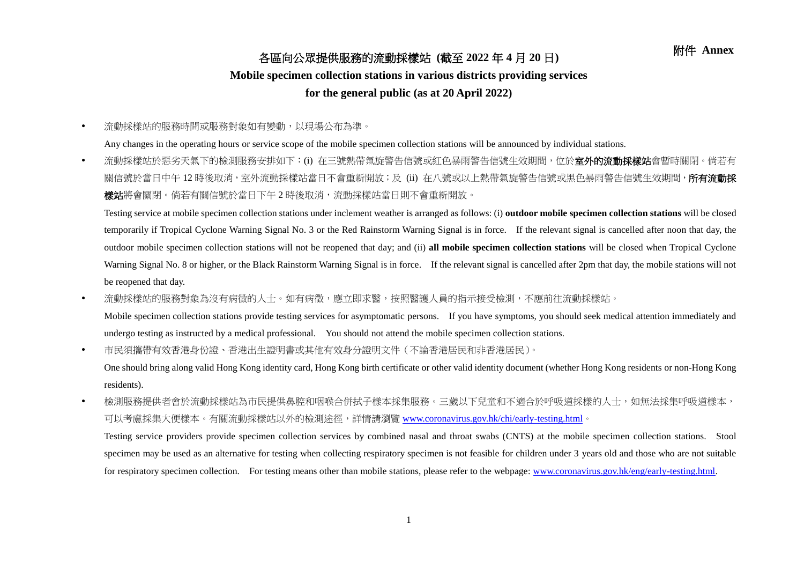## 附件 **Annex** 各區向公眾提供服務的流動採樣站 **(**截至 **<sup>2022</sup>** <sup>年</sup> **<sup>4</sup>** <sup>月</sup> **<sup>20</sup>** <sup>日</sup>**)**

## **Mobile specimen collection stations in various districts providing services**

## **for the general public (as at 20 April 2022)**

流動採樣站的服務時間或服務對象如有變動,以現場公布為準。

Any changes in the operating hours or service scope of the mobile specimen collection stations will be announced by individual stations.

• 流動採樣站於惡劣天氣下的檢測服務安排如下:(i) 在三號熱帶氣旋警告信號或紅色暴雨警告信號生效期間,位於**室外的流動採樣站**會暫時關閉。倘若有 關信號於當日中午 12 時後取消,室外流動採樣站當日不會重新開放;及 (ii) 在八號或以上熱帶氣旋警告信號或黑色暴雨警告信號生效期間,**所有流動採 樣站**將會關閉。倘若有關信號於當日下午2時後取消,流動採樣站當日則不會重新開放。

Testing service at mobile specimen collection stations under inclement weather is arranged as follows: (i) **outdoor mobile specimen collection stations** will be closed temporarily if Tropical Cyclone Warning Signal No. 3 or the Red Rainstorm Warning Signal is in force. If the relevant signal is cancelled after noon that day, the outdoor mobile specimen collection stations will not be reopened that day; and (ii) **all mobile specimen collection stations** will be closed when Tropical Cyclone Warning Signal No. 8 or higher, or the Black Rainstorm Warning Signal is in force. If the relevant signal is cancelled after 2pm that day, the mobile stations will not be reopened that day.

• 流動採樣站的服務對象為沒有病徵的人士。如有病徵,應立即求醫,按照醫護人員的指示接受檢測,不應前往流動採樣站。

Mobile specimen collection stations provide testing services for asymptomatic persons. If you have symptoms, you should seek medical attention immediately and undergo testing as instructed by a medical professional. You should not attend the mobile specimen collection stations.

市民須攜帶有效香港身份證、香港出生證明書或其他有效身分證明文件(不論香港居民和非香港居民)。

One should bring along valid Hong Kong identity card, Hong Kong birth certificate or other valid identity document (whether Hong Kong residents or non-Hong Kong residents).

• 檢測服務提供者會於流動採樣站為市民提供鼻腔和咽喉合併拭子樣本採集服務。三歲以下兒童和不適合於呼吸道採樣的人士,如無法採集呼吸道樣本, 可以考慮採集大便樣本。有關流動採樣站以外的檢測途徑,詳情請瀏覽 [www.coronavirus.gov.hk/chi/early-testing.html](http://www.coronavirus.gov.hk/chi/early-testing.html)。

Testing service providers provide specimen collection services by combined nasal and throat swabs (CNTS) at the mobile specimen collection stations. Stool specimen may be used as an alternative for testing when collecting respiratory specimen is not feasible for children under 3 years old and those who are not suitable for respiratory specimen collection. For testing means other than mobile stations, please refer to the webpage: [www.coronavirus.gov.hk/eng/early-testing.html.](http://www.coronavirus.gov.hk/eng/early-testing.html)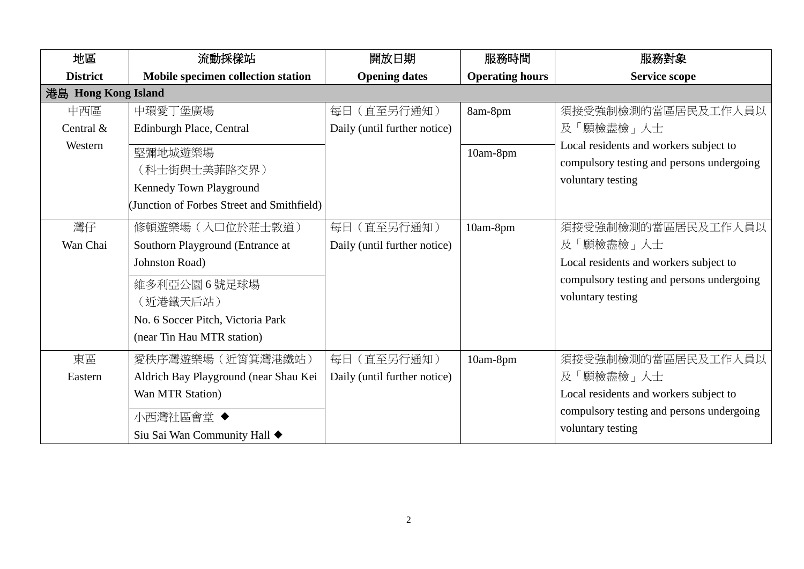| 地區                          | 流動採樣站                                                                                                                                                                 | 開放日期                                        | 服務時間                   | 服務對象                                                                                                                                        |
|-----------------------------|-----------------------------------------------------------------------------------------------------------------------------------------------------------------------|---------------------------------------------|------------------------|---------------------------------------------------------------------------------------------------------------------------------------------|
| <b>District</b>             | Mobile specimen collection station                                                                                                                                    | <b>Opening dates</b>                        | <b>Operating hours</b> | <b>Service scope</b>                                                                                                                        |
| 港島 Hong Kong Island         |                                                                                                                                                                       |                                             |                        |                                                                                                                                             |
| 中西區<br>Central &<br>Western | 中環愛丁堡廣場<br>Edinburgh Place, Central<br>堅彌地城遊樂場<br>(科士街與士美菲路交界)<br>Kennedy Town Playground<br>(Junction of Forbes Street and Smithfield)                               | 每日 (直至另行通知)<br>Daily (until further notice) | 8am-8pm<br>10am-8pm    | 須接受強制檢測的當區居民及工作人員以<br>及「願檢盡檢」人士<br>Local residents and workers subject to<br>compulsory testing and persons undergoing<br>voluntary testing |
| 灣仔<br>Wan Chai              | 修頓遊樂場 (入口位於莊士敦道)<br>Southorn Playground (Entrance at<br>Johnston Road)<br>維多利亞公園 6號足球場<br>(近港鐵天后站)<br>No. 6 Soccer Pitch, Victoria Park<br>(near Tin Hau MTR station) | 每日 (直至另行通知)<br>Daily (until further notice) | 10am-8pm               | 須接受強制檢測的當區居民及工作人員以<br>及「願檢盡檢」人士<br>Local residents and workers subject to<br>compulsory testing and persons undergoing<br>voluntary testing |
| 東區<br>Eastern               | 愛秩序灣遊樂場 (近筲箕灣港鐵站)<br>Aldrich Bay Playground (near Shau Kei<br>Wan MTR Station)<br>小西灣社區會堂 ◆<br>Siu Sai Wan Community Hall ◆                                           | 每日 (直至另行通知)<br>Daily (until further notice) | 10am-8pm               | 須接受強制檢測的當區居民及工作人員以<br>及「願檢盡檢」人士<br>Local residents and workers subject to<br>compulsory testing and persons undergoing<br>voluntary testing |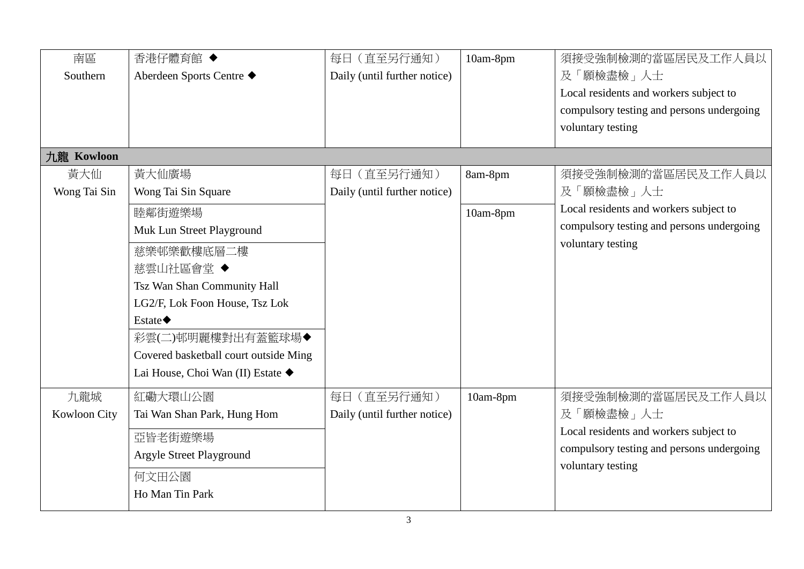| 南區                  | 香港仔體育館 ◆                              | 每日 (直至另行通知)                  | 10am-8pm | 須接受強制檢測的當區居民及工作人員以                        |
|---------------------|---------------------------------------|------------------------------|----------|-------------------------------------------|
| Southern            | Aberdeen Sports Centre ◆              | Daily (until further notice) |          | 及「願檢盡檢」人士                                 |
|                     |                                       |                              |          | Local residents and workers subject to    |
|                     |                                       |                              |          | compulsory testing and persons undergoing |
|                     |                                       |                              |          | voluntary testing                         |
|                     |                                       |                              |          |                                           |
| 九龍 Kowloon          |                                       |                              |          |                                           |
| 黃大仙                 | 黃大仙廣場                                 | 每日 (直至另行通知)                  | 8am-8pm  | 須接受強制檢測的當區居民及工作人員以                        |
| Wong Tai Sin        | Wong Tai Sin Square                   | Daily (until further notice) |          | 及「願檢盡檢」人士                                 |
|                     | 睦鄰街遊樂場                                |                              | 10am-8pm | Local residents and workers subject to    |
|                     | Muk Lun Street Playground             |                              |          | compulsory testing and persons undergoing |
|                     | 慈樂邨樂歡樓底層二樓                            |                              |          | voluntary testing                         |
|                     | 慈雲山社區會堂◆                              |                              |          |                                           |
|                     | Tsz Wan Shan Community Hall           |                              |          |                                           |
|                     | LG2/F, Lok Foon House, Tsz Lok        |                              |          |                                           |
|                     | Estate $\blacklozenge$                |                              |          |                                           |
|                     | 彩雲(二)邨明麗樓對出有蓋籃球場◆                     |                              |          |                                           |
|                     | Covered basketball court outside Ming |                              |          |                                           |
|                     | Lai House, Choi Wan (II) Estate ◆     |                              |          |                                           |
| 九龍城                 | 紅磡大環山公園                               | 每日 (直至另行通知)                  | 10am-8pm | 須接受強制檢測的當區居民及工作人員以                        |
| <b>Kowloon City</b> | Tai Wan Shan Park, Hung Hom           | Daily (until further notice) |          | 及「願檢盡檢」人士                                 |
|                     | 亞皆老街遊樂場                               |                              |          | Local residents and workers subject to    |
|                     | Argyle Street Playground              |                              |          | compulsory testing and persons undergoing |
|                     |                                       |                              |          | voluntary testing                         |
|                     | 何文田公園                                 |                              |          |                                           |
|                     | Ho Man Tin Park                       |                              |          |                                           |
|                     |                                       |                              |          |                                           |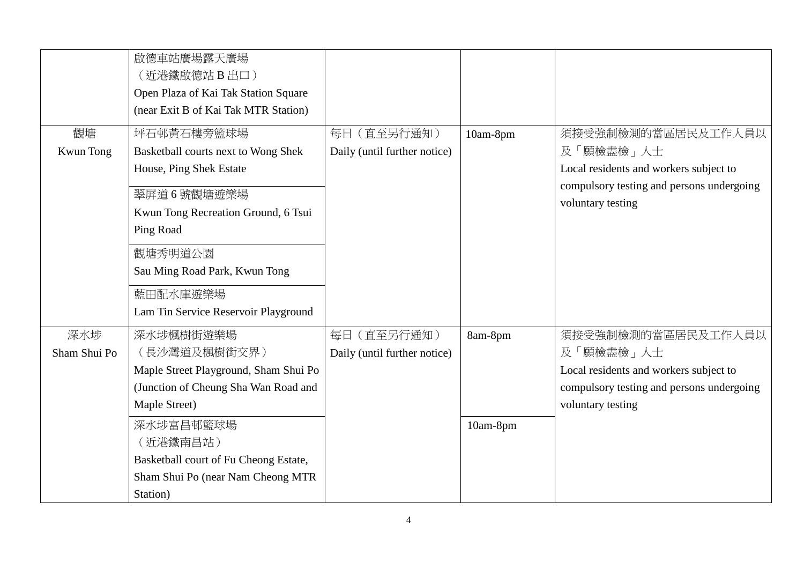|                 | 啟德車站廣場露天廣場<br>(近港鐵啟德站 B 出口)<br>Open Plaza of Kai Tak Station Square<br>(near Exit B of Kai Tak MTR Station)                                    |                                             |          |                                                                                                                                             |
|-----------------|------------------------------------------------------------------------------------------------------------------------------------------------|---------------------------------------------|----------|---------------------------------------------------------------------------------------------------------------------------------------------|
| 觀塘<br>Kwun Tong | 坪石邨黃石樓旁籃球場<br>Basketball courts next to Wong Shek<br>House, Ping Shek Estate<br>翠屏道6號觀塘遊樂場<br>Kwun Tong Recreation Ground, 6 Tsui<br>Ping Road | 每日 (直至另行通知)<br>Daily (until further notice) | 10am-8pm | 須接受強制檢測的當區居民及工作人員以<br>及「願檢盡檢」人士<br>Local residents and workers subject to<br>compulsory testing and persons undergoing<br>voluntary testing |
|                 | 觀塘秀明道公園<br>Sau Ming Road Park, Kwun Tong<br>藍田配水庫遊樂場<br>Lam Tin Service Reservoir Playground                                                   |                                             |          |                                                                                                                                             |
| 深水埗             | 深水埗楓樹街遊樂場                                                                                                                                      | 每日 (直至另行通知)                                 | 8am-8pm  | 須接受強制檢測的當區居民及工作人員以                                                                                                                          |
| Sham Shui Po    | (長沙灣道及楓樹街交界)<br>Maple Street Playground, Sham Shui Po<br>(Junction of Cheung Sha Wan Road and<br>Maple Street)                                 | Daily (until further notice)                |          | 及「願檢盡檢」人士<br>Local residents and workers subject to<br>compulsory testing and persons undergoing<br>voluntary testing                       |
|                 | 深水埗富昌邨籃球場<br>(近港鐵南昌站)<br>Basketball court of Fu Cheong Estate,<br>Sham Shui Po (near Nam Cheong MTR<br>Station)                                |                                             | 10am-8pm |                                                                                                                                             |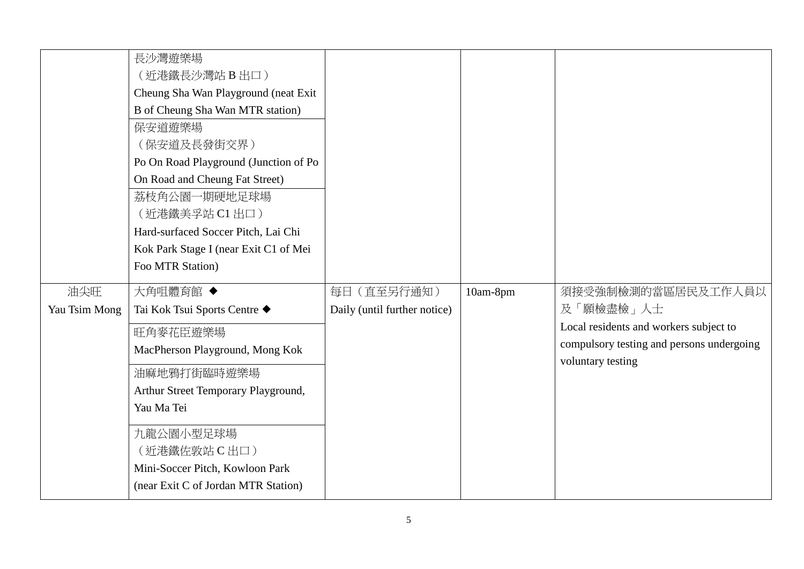|                      | 長沙灣遊樂場<br>(近港鐵長沙灣站 B出口)<br>Cheung Sha Wan Playground (neat Exit<br>B of Cheung Sha Wan MTR station)<br>保安道遊樂場<br>(保安道及長發街交界)<br>Po On Road Playground (Junction of Po<br>On Road and Cheung Fat Street)<br>荔枝角公園一期硬地足球場<br>(近港鐵美孚站 C1 出口)<br>Hard-surfaced Soccer Pitch, Lai Chi<br>Kok Park Stage I (near Exit C1 of Mei<br>Foo MTR Station) |                                             |          |                                                                                                                                             |
|----------------------|-----------------------------------------------------------------------------------------------------------------------------------------------------------------------------------------------------------------------------------------------------------------------------------------------------------------------------------------------|---------------------------------------------|----------|---------------------------------------------------------------------------------------------------------------------------------------------|
| 油尖旺<br>Yau Tsim Mong | 大角咀體育館 ◆<br>Tai Kok Tsui Sports Centre ◆<br>旺角麥花臣遊樂場<br>MacPherson Playground, Mong Kok<br>油麻地鴉打街臨時遊樂場<br>Arthur Street Temporary Playground,<br>Yau Ma Tei<br>九龍公園小型足球場<br>(近港鐵佐敦站 C 出口)<br>Mini-Soccer Pitch, Kowloon Park<br>(near Exit C of Jordan MTR Station)                                                                           | 每日 (直至另行通知)<br>Daily (until further notice) | 10am-8pm | 須接受強制檢測的當區居民及工作人員以<br>及「願檢盡檢」人士<br>Local residents and workers subject to<br>compulsory testing and persons undergoing<br>voluntary testing |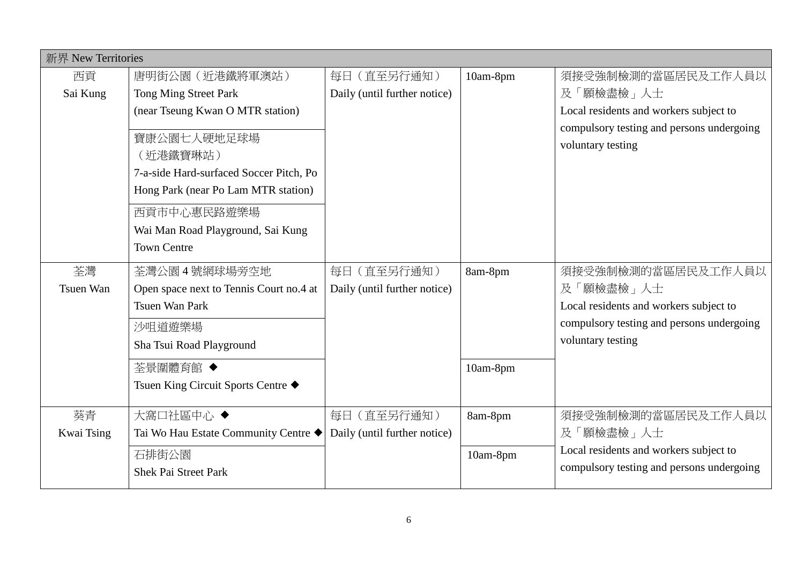|                  | 新界 New Territories                      |                              |          |                                           |  |
|------------------|-----------------------------------------|------------------------------|----------|-------------------------------------------|--|
| 西貢               | 唐明街公園 (近港鐵將軍澳站)                         | 每日(直至另行通知)                   | 10am-8pm | 須接受強制檢測的當區居民及工作人員以                        |  |
| Sai Kung         | Tong Ming Street Park                   | Daily (until further notice) |          | 及「願檢盡檢」人士                                 |  |
|                  | (near Tseung Kwan O MTR station)        |                              |          | Local residents and workers subject to    |  |
|                  | 寶康公園七人硬地足球場                             |                              |          | compulsory testing and persons undergoing |  |
|                  | (近港鐵寶琳站)                                |                              |          | voluntary testing                         |  |
|                  | 7-a-side Hard-surfaced Soccer Pitch, Po |                              |          |                                           |  |
|                  | Hong Park (near Po Lam MTR station)     |                              |          |                                           |  |
|                  |                                         |                              |          |                                           |  |
|                  | 西貢市中心惠民路遊樂場                             |                              |          |                                           |  |
|                  | Wai Man Road Playground, Sai Kung       |                              |          |                                           |  |
|                  | <b>Town Centre</b>                      |                              |          |                                           |  |
| 荃灣               | 荃灣公園 4號網球場旁空地                           | 每日 (直至另行通知)                  | 8am-8pm  | 須接受強制檢測的當區居民及工作人員以                        |  |
| <b>Tsuen Wan</b> | Open space next to Tennis Court no.4 at | Daily (until further notice) |          | 及「願檢盡檢」人士                                 |  |
|                  | <b>Tsuen Wan Park</b>                   |                              |          | Local residents and workers subject to    |  |
|                  | 沙咀道遊樂場                                  |                              |          | compulsory testing and persons undergoing |  |
|                  | Sha Tsui Road Playground                |                              |          | voluntary testing                         |  |
|                  | 荃景圍體育館 ◆                                |                              | 10am-8pm |                                           |  |
|                  | Tsuen King Circuit Sports Centre ◆      |                              |          |                                           |  |
|                  |                                         |                              |          |                                           |  |
| 葵青               | 大窩口社區中心◆                                | 每日 (直至另行通知)                  | 8am-8pm  | 須接受強制檢測的當區居民及工作人員以                        |  |
| Kwai Tsing       | Tai Wo Hau Estate Community Centre ◆    | Daily (until further notice) |          | 及「願檢盡檢」人士                                 |  |
|                  | 石排街公園                                   |                              | 10am-8pm | Local residents and workers subject to    |  |
|                  | <b>Shek Pai Street Park</b>             |                              |          | compulsory testing and persons undergoing |  |
|                  |                                         |                              |          |                                           |  |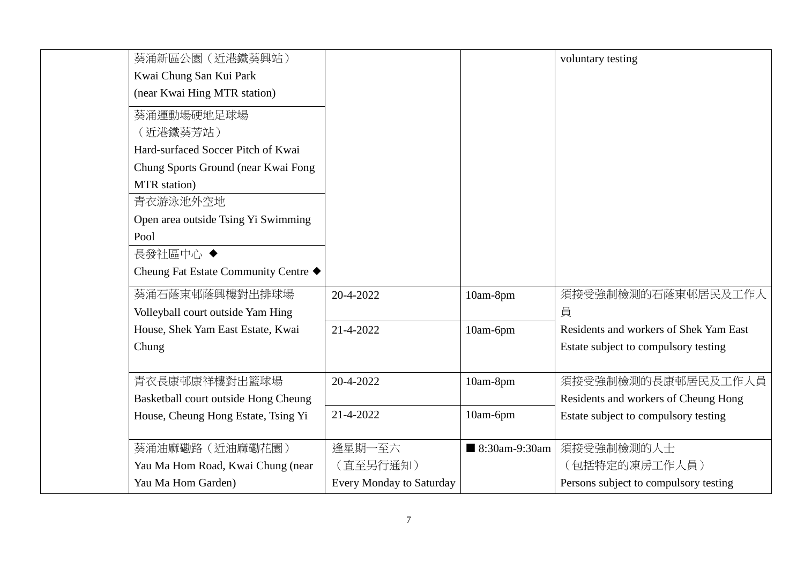| 葵涌新區公園 (近港鐵葵興站)                      |                                 |               | voluntary testing                      |
|--------------------------------------|---------------------------------|---------------|----------------------------------------|
| Kwai Chung San Kui Park              |                                 |               |                                        |
| (near Kwai Hing MTR station)         |                                 |               |                                        |
| 葵涌運動場硬地足球場                           |                                 |               |                                        |
| (近港鐵葵芳站)                             |                                 |               |                                        |
| Hard-surfaced Soccer Pitch of Kwai   |                                 |               |                                        |
| Chung Sports Ground (near Kwai Fong  |                                 |               |                                        |
| MTR station)                         |                                 |               |                                        |
| 青衣游泳池外空地                             |                                 |               |                                        |
| Open area outside Tsing Yi Swimming  |                                 |               |                                        |
| Pool                                 |                                 |               |                                        |
| 長發社區中心 ◆                             |                                 |               |                                        |
| Cheung Fat Estate Community Centre ◆ |                                 |               |                                        |
| 葵涌石蔭東邨蔭興樓對出排球場                       | 20-4-2022                       | 10am-8pm      | 須接受強制檢測的石蔭東邨居民及工作人                     |
| Volleyball court outside Yam Hing    |                                 |               | 員                                      |
| House, Shek Yam East Estate, Kwai    | 21-4-2022                       | 10am-6pm      | Residents and workers of Shek Yam East |
| Chung                                |                                 |               | Estate subject to compulsory testing   |
|                                      |                                 |               |                                        |
| 青衣長康邨康祥樓對出籃球場                        | 20-4-2022                       | 10am-8pm      | 須接受強制檢測的長康邨居民及工作人員                     |
| Basketball court outside Hong Cheung |                                 |               | Residents and workers of Cheung Hong   |
| House, Cheung Hong Estate, Tsing Yi  | 21-4-2022                       | 10am-6pm      | Estate subject to compulsory testing   |
|                                      |                                 |               |                                        |
| 葵涌油麻磡路 (近油麻磡花園)                      | 逢星期一至六                          | 8:30am-9:30am | 須接受強制檢測的人士                             |
| Yau Ma Hom Road, Kwai Chung (near    | (直至另行通知)                        |               | 〔包括特定的凍房工作人員)                          |
| Yau Ma Hom Garden)                   | <b>Every Monday to Saturday</b> |               | Persons subject to compulsory testing  |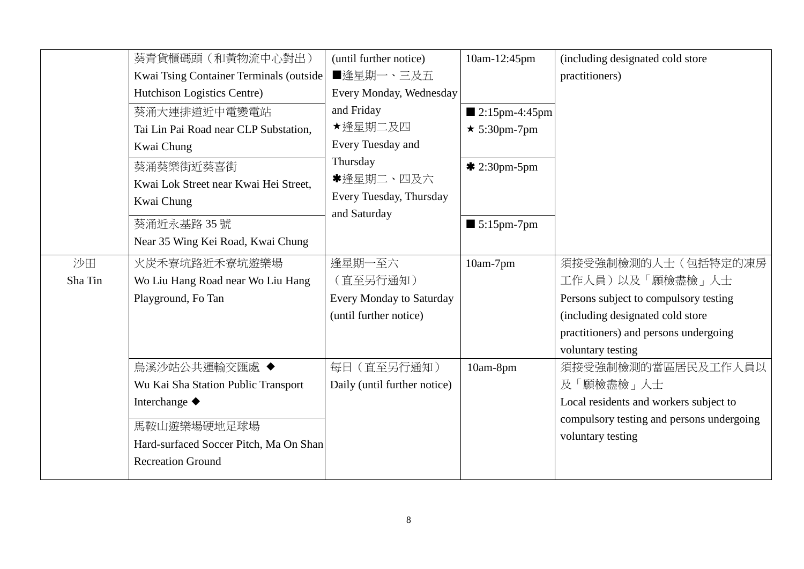|         | 葵青貨櫃碼頭 (和黃物流中心對出)                       | (until further notice)          | 10am-12:45pm                 | (including designated cold store          |
|---------|-----------------------------------------|---------------------------------|------------------------------|-------------------------------------------|
|         | Kwai Tsing Container Terminals (outside | ■逢星期一、三及五                       |                              | practitioners)                            |
|         | Hutchison Logistics Centre)             | Every Monday, Wednesday         |                              |                                           |
|         | 葵涌大連排道近中電變電站                            | and Friday                      | $\blacksquare$ 2:15pm-4:45pm |                                           |
|         | Tai Lin Pai Road near CLP Substation,   | ★逢星期二及四                         | $\star$ 5:30pm-7pm           |                                           |
|         | Kwai Chung                              | Every Tuesday and               |                              |                                           |
|         | 葵涌葵樂街近葵喜街                               | Thursday                        | $* 2:30pm-5pm$               |                                           |
|         | Kwai Lok Street near Kwai Hei Street,   | *逢星期二、四及六                       |                              |                                           |
|         | Kwai Chung                              | Every Tuesday, Thursday         |                              |                                           |
|         | 葵涌近永基路35號                               | and Saturday                    | $\blacksquare$ 5:15pm-7pm    |                                           |
|         | Near 35 Wing Kei Road, Kwai Chung       |                                 |                              |                                           |
|         |                                         |                                 |                              |                                           |
| 沙田      | 火炭禾寮坑路近禾寮坑遊樂場                           | 逢星期一至六                          | 10am-7pm                     | 須接受強制檢測的人士(包括特定的凍房                        |
| Sha Tin | Wo Liu Hang Road near Wo Liu Hang       | (直至另行通知)                        |                              | 工作人員)以及「願檢盡檢」人士                           |
|         | Playground, Fo Tan                      | <b>Every Monday to Saturday</b> |                              | Persons subject to compulsory testing     |
|         |                                         | (until further notice)          |                              | (including designated cold store          |
|         |                                         |                                 |                              | practitioners) and persons undergoing     |
|         |                                         |                                 |                              | voluntary testing                         |
|         | 烏溪沙站公共運輸交匯處 ◆                           | 每日 (直至另行通知)                     | 10am-8pm                     | 須接受強制檢測的當區居民及工作人員以                        |
|         | Wu Kai Sha Station Public Transport     | Daily (until further notice)    |                              | 及「願檢盡檢」人士                                 |
|         | Interchange ◆                           |                                 |                              | Local residents and workers subject to    |
|         | 馬鞍山遊樂場硬地足球場                             |                                 |                              | compulsory testing and persons undergoing |
|         | Hard-surfaced Soccer Pitch, Ma On Shan  |                                 |                              | voluntary testing                         |
|         | <b>Recreation Ground</b>                |                                 |                              |                                           |
|         |                                         |                                 |                              |                                           |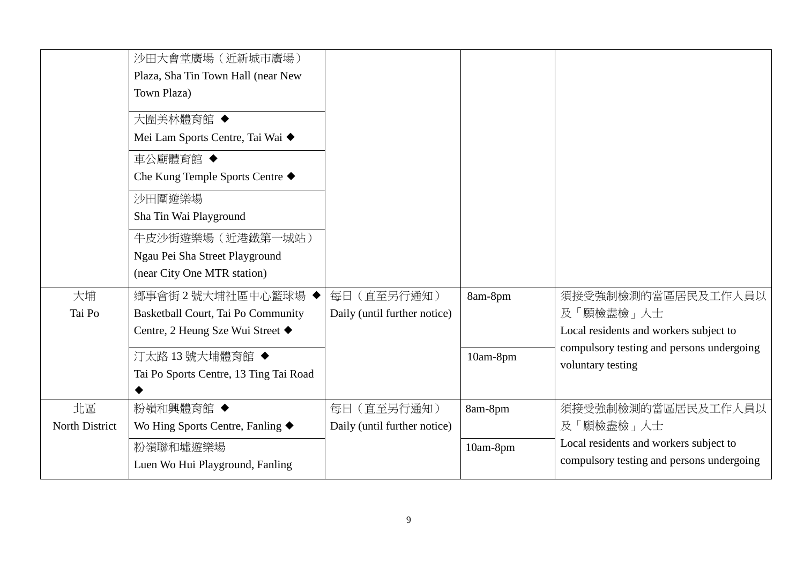|                | 沙田大會堂廣場 (近新城市廣場)<br>Plaza, Sha Tin Town Hall (near New<br>Town Plaza) |                              |          |                                                                                     |
|----------------|-----------------------------------------------------------------------|------------------------------|----------|-------------------------------------------------------------------------------------|
|                | 大圍美林體育館 ◆<br>Mei Lam Sports Centre, Tai Wai ◆                         |                              |          |                                                                                     |
|                | 車公廟體育館 ◆<br>Che Kung Temple Sports Centre ◆                           |                              |          |                                                                                     |
|                | 沙田圍遊樂場<br>Sha Tin Wai Playground                                      |                              |          |                                                                                     |
|                | 牛皮沙街遊樂場 (近港鐵第一城站)<br>Ngau Pei Sha Street Playground                   |                              |          |                                                                                     |
|                | (near City One MTR station)                                           |                              |          |                                                                                     |
| 大埔             | 鄉事會街2號大埔社區中心籃球場 ◆                                                     | 每日 (直至另行通知)                  | 8am-8pm  | 須接受強制檢測的當區居民及工作人員以                                                                  |
| Tai Po         | Basketball Court, Tai Po Community                                    | Daily (until further notice) |          | 及「願檢盡檢」人士                                                                           |
|                | Centre, 2 Heung Sze Wui Street ♦                                      |                              |          | Local residents and workers subject to<br>compulsory testing and persons undergoing |
|                | 汀太路 13號大埔體育館◆                                                         |                              | 10am-8pm | voluntary testing                                                                   |
|                | Tai Po Sports Centre, 13 Ting Tai Road                                |                              |          |                                                                                     |
| 北區             | 粉嶺和興體育館 ◆                                                             | 每日 (直至另行通知)                  | 8am-8pm  | 須接受強制檢測的當區居民及工作人員以                                                                  |
| North District | Wo Hing Sports Centre, Fanling $\blacklozenge$                        | Daily (until further notice) |          | 及「願檢盡檢」人士                                                                           |
|                | 粉嶺聯和墟遊樂場                                                              |                              | 10am-8pm | Local residents and workers subject to                                              |
|                | Luen Wo Hui Playground, Fanling                                       |                              |          | compulsory testing and persons undergoing                                           |
|                |                                                                       |                              |          |                                                                                     |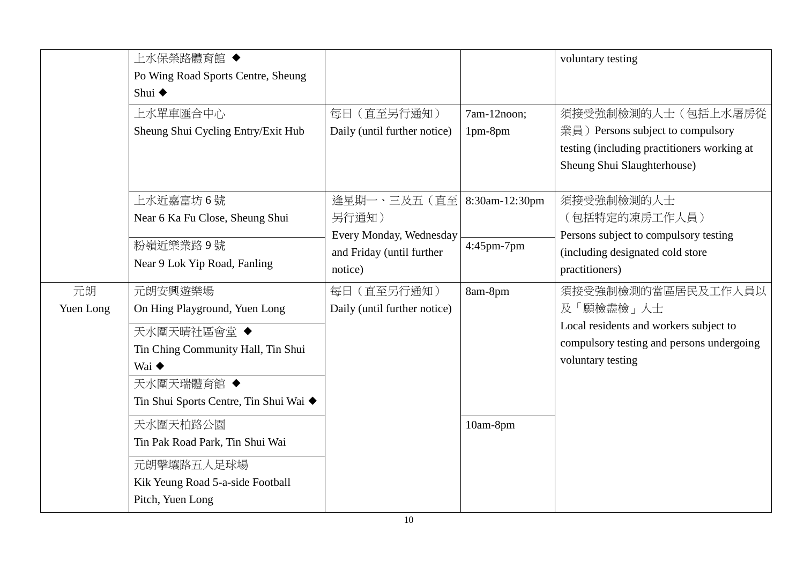|                 | 上水保榮路體育館 ◆<br>Po Wing Road Sports Centre, Sheung<br>Shui $\triangle$<br>上水單車匯合中心<br>Sheung Shui Cycling Entry/Exit Hub | 每日 (直至另行通知)<br>Daily (until further notice)       | 7am-12noon;<br>1pm-8pm | voluntary testing<br>須接受強制檢測的人士(包括上水屠房從<br>業員) Persons subject to compulsory                                                                |
|-----------------|------------------------------------------------------------------------------------------------------------------------|---------------------------------------------------|------------------------|---------------------------------------------------------------------------------------------------------------------------------------------|
|                 |                                                                                                                        |                                                   |                        | testing (including practitioners working at<br>Sheung Shui Slaughterhouse)                                                                  |
|                 | 上水近嘉富坊6號<br>Near 6 Ka Fu Close, Sheung Shui                                                                            | 逢星期一、三及五 (直至)<br>另行通知)<br>Every Monday, Wednesday | 8:30am-12:30pm         | 須接受強制檢測的人士<br>(包括特定的凍房工作人員)<br>Persons subject to compulsory testing                                                                        |
|                 | 粉嶺近樂業路9號<br>Near 9 Lok Yip Road, Fanling                                                                               | and Friday (until further<br>notice)              | 4:45pm-7pm             | (including designated cold store<br>practitioners)                                                                                          |
| 元朗<br>Yuen Long | 元朗安興遊樂場<br>On Hing Playground, Yuen Long<br>天水圍天晴社區會堂◆<br>Tin Ching Community Hall, Tin Shui<br>Wai ◆                  | 每日 (直至另行通知)<br>Daily (until further notice)       | 8am-8pm                | 須接受強制檢測的當區居民及工作人員以<br>及「願檢盡檢」人士<br>Local residents and workers subject to<br>compulsory testing and persons undergoing<br>voluntary testing |
|                 | 天水圍天瑞體育館 ◆<br>Tin Shui Sports Centre, Tin Shui Wai ◆<br>天水圍天柏路公園                                                       |                                                   | 10am-8pm               |                                                                                                                                             |
|                 | Tin Pak Road Park, Tin Shui Wai<br>元朗擊壤路五人足球場<br>Kik Yeung Road 5-a-side Football<br>Pitch, Yuen Long                  |                                                   |                        |                                                                                                                                             |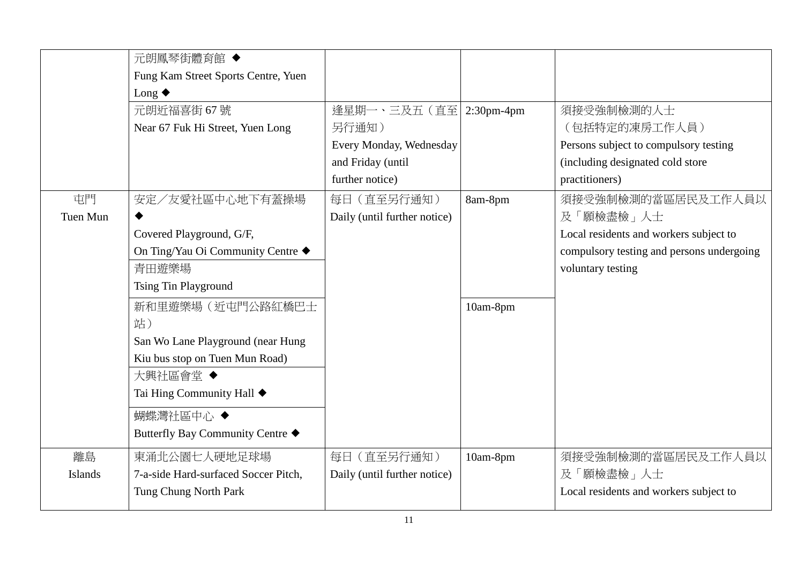|          | 元朗鳳琴街體育館 ◆                           |                              |          |                                           |
|----------|--------------------------------------|------------------------------|----------|-------------------------------------------|
|          | Fung Kam Street Sports Centre, Yuen  |                              |          |                                           |
|          | Long $\blacklozenge$                 |                              |          |                                           |
|          | 元朗近福喜街 67號                           | 逢星期一、三及五 (直至 2:30pm-4pm      |          | 須接受強制檢測的人士                                |
|          | Near 67 Fuk Hi Street, Yuen Long     | 另行通知)                        |          | (包括特定的凍房工作人員)                             |
|          |                                      | Every Monday, Wednesday      |          | Persons subject to compulsory testing     |
|          |                                      | and Friday (until            |          | (including designated cold store          |
|          |                                      | further notice)              |          | practitioners)                            |
| 屯門       | 安定/友愛社區中心地下有蓋操場                      | 每日 (直至另行通知)                  | 8am-8pm  | 須接受強制檢測的當區居民及工作人員以                        |
| Tuen Mun |                                      | Daily (until further notice) |          | 及「願檢盡檢」人士                                 |
|          | Covered Playground, G/F,             |                              |          | Local residents and workers subject to    |
|          | On Ting/Yau Oi Community Centre ◆    |                              |          | compulsory testing and persons undergoing |
|          | 青田遊樂場                                |                              |          | voluntary testing                         |
|          | <b>Tsing Tin Playground</b>          |                              |          |                                           |
|          | 新和里遊樂場(近屯門公路紅橋巴士                     |                              | 10am-8pm |                                           |
|          | 站)                                   |                              |          |                                           |
|          | San Wo Lane Playground (near Hung    |                              |          |                                           |
|          | Kiu bus stop on Tuen Mun Road)       |                              |          |                                           |
|          | 大興社區會堂◆                              |                              |          |                                           |
|          | Tai Hing Community Hall ◆            |                              |          |                                           |
|          | 蝴蝶灣社區中心 ◆                            |                              |          |                                           |
|          | Butterfly Bay Community Centre ◆     |                              |          |                                           |
| 離島       | 東涌北公園七人硬地足球場                         | 每日 (直至另行通知)                  | 10am-8pm | 須接受強制檢測的當區居民及工作人員以                        |
| Islands  | 7-a-side Hard-surfaced Soccer Pitch, | Daily (until further notice) |          | 及「願檢盡檢」人士                                 |
|          | Tung Chung North Park                |                              |          | Local residents and workers subject to    |
|          |                                      |                              |          |                                           |